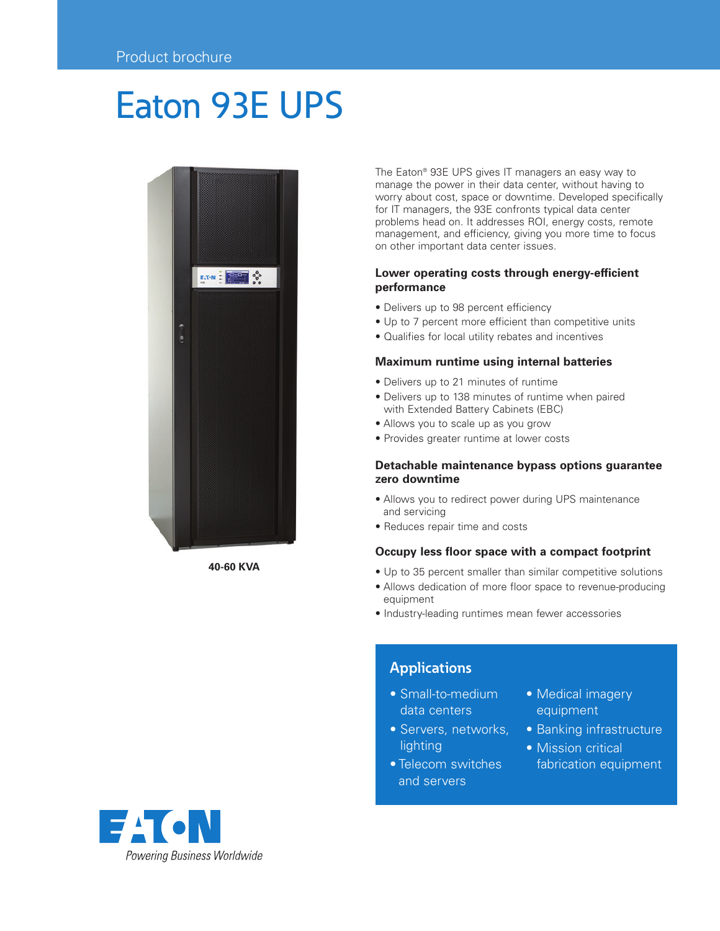# Eaton 93E UPS



**40-60 KVA**

The Eaton® 93E UPS gives IT managers an easy way to manage the power in their data center, without having to worry about cost, space or downtime. Developed specifically for IT managers, the 93E confronts typical data center problems head on. It addresses ROI, energy costs, remote management, and efficiency, giving you more time to focus on other important data center issues.

# **Lower operating costs through energy-efficient performance**

- Delivers up to 98 percent efficiency
- Up to 7 percent more efficient than competitive units
- Qualifies for local utility rebates and incentives

### **Maximum runtime using internal batteries**

- Delivers up to 21 minutes of runtime
- Delivers up to 138 minutes of runtime when paired with Extended Battery Cabinets (EBC)
- Allows you to scale up as you grow
- Provides greater runtime at lower costs

# **Detachable maintenance bypass options guarantee zero downtime**

- Allows you to redirect power during UPS maintenance and servicing
- Reduces repair time and costs

# **Occupy less floor space with a compact footprint**

- Up to 35 percent smaller than similar competitive solutions
- Allows dedication of more floor space to revenue-producing equipment
- Industry-leading runtimes mean fewer accessories

# **Applications**

- Small-to-medium data centers
- Servers, networks, lighting
- Telecom switches and servers
- Medical imagery equipment
- Banking infrastructure
- Mission critical fabrication equipment

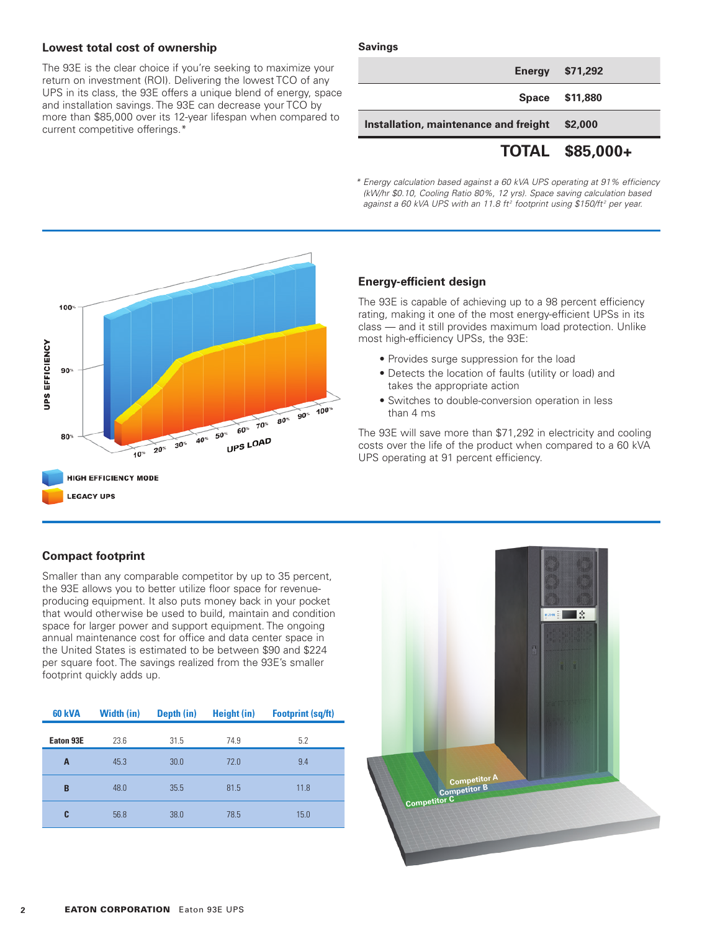# **Lowest total cost of ownership**

The 93E is the clear choice if you're seeking to maximize your return on investment (ROI). Delivering the lowest TCO of any UPS in its class, the 93E offers a unique blend of energy, space and installation savings. The 93E can decrease your TCO by more than \$85,000 over its 12-year lifespan when compared to current competitive offerings.\*

#### **Savings**

|                                       | TOTAL \$85,000+        |
|---------------------------------------|------------------------|
| Installation, maintenance and freight | \$2,000                |
|                                       | Space \$11,880         |
|                                       | <b>Energy \$71,292</b> |

*\* Energy calculation based against a 60 kVA UPS operating at 91% efficiency (kW/hr \$0.10, Cooling Ratio 80%, 12 yrs). Space saving calculation based*  against a 60 kVA UPS with an 11.8 ft<sup>2</sup> footprint using \$150/ft<sup>2</sup> per year.

![](_page_1_Figure_5.jpeg)

# **Energy-efficient design**

The 93E is capable of achieving up to a 98 percent efficiency rating, making it one of the most energy-efficient UPSs in its class — and it still provides maximum load protection. Unlike most high-efficiency UPSs, the 93E:

- Provides surge suppression for the load
- Detects the location of faults (utility or load) and takes the appropriate action
- Switches to double-conversion operation in less than 4 ms

The 93E will save more than \$71,292 in electricity and cooling costs over the life of the product when compared to a 60 kVA UPS operating at 91 percent efficiency.

# **Compact footprint**

Smaller than any comparable competitor by up to 35 percent, the 93E allows you to better utilize floor space for revenueproducing equipment. It also puts money back in your pocket that would otherwise be used to build, maintain and condition space for larger power and support equipment. The ongoing annual maintenance cost for office and data center space in the United States is estimated to be between \$90 and \$224 per square foot. The savings realized from the 93E's smaller footprint quickly adds up.

| <b>60 kVA</b> | <b>Width (in)</b> | Depth (in) | Height (in) | <b>Footprint (sq/ft)</b> |
|---------------|-------------------|------------|-------------|--------------------------|
| Eaton 93E     | 23.6              | 31.5       | 74.9        | 5.2                      |
| A             | 45.3              | 30.0       | 72.0        | 9.4                      |
| B             | 48.0              | 35.5       | 81.5        | 11.8                     |
| C             | 56.8              | 38.0       | 78.5        | 15.0                     |

![](_page_1_Picture_15.jpeg)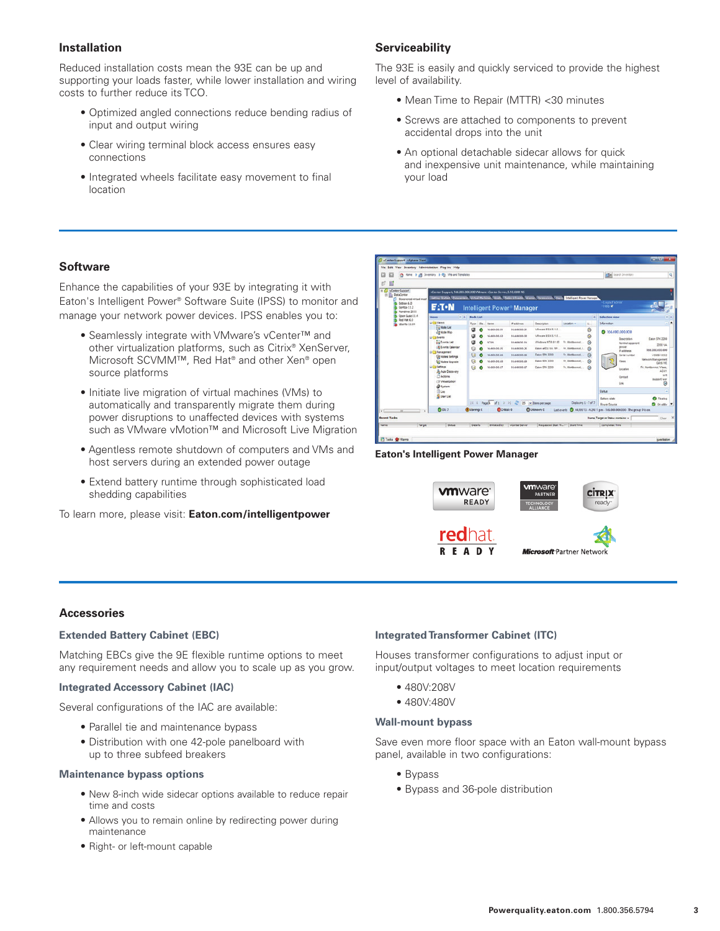# **Installation**

Reduced installation costs mean the 93E can be up and supporting your loads faster, while lower installation and wiring costs to further reduce its TCO.

- Optimized angled connections reduce bending radius of input and output wiring
- Clear wiring terminal block access ensures easy connections
- Integrated wheels facilitate easy movement to final location

# **Serviceability**

The 93E is easily and quickly serviced to provide the highest level of availability.

- Mean Time to Repair (MTTR) <30 minutes
- Screws are attached to components to prevent accidental drops into the unit
- An optional detachable sidecar allows for quick and inexpensive unit maintenance, while maintaining your load

# **Software**

Enhance the capabilities of your 93E by integrating it with Eaton's Intelligent Power® Software Suite (IPSS) to monitor and manage your network power devices. IPSS enables you to:

- Seamlessly integrate with VMware's vCenter™ and other virtualization platforms, such as Citrix® XenServer, Microsoft SCVMM™, Red Hat® and other Xen® open source platforms
- Initiate live migration of virtual machines (VMs) to automatically and transparently migrate them during power disruptions to unaffected devices with systems such as VMware vMotion™ and Microsoft Live Migration
- Agentless remote shutdown of computers and VMs and host servers during an extended power outage
- Extend battery runtime through sophisticated load shedding capabilities

To learn more, please visit: **Eaton.com/intelligentpower**

![](_page_2_Picture_17.jpeg)

#### **Eaton's Intelligent Power Manager**

![](_page_2_Picture_19.jpeg)

#### **Accessories**

#### **Extended Battery Cabinet (EBC)**

Matching EBCs give the 9E flexible runtime options to meet any requirement needs and allow you to scale up as you grow.

#### **Integrated Accessory Cabinet (IAC)**

Several configurations of the IAC are available:

- Parallel tie and maintenance bypass
- Distribution with one 42-pole panelboard with up to three subfeed breakers

#### **Maintenance bypass options**

- New 8-inch wide sidecar options available to reduce repair time and costs
- Allows you to remain online by redirecting power during maintenance
- Right- or left-mount capable

#### **Integrated Transformer Cabinet (ITC)**

Houses transformer configurations to adjust input or input/output voltages to meet location requirements

- 480V:208V
- 480V:480V

#### **Wall-mount bypass**

Save even more floor space with an Eaton wall-mount bypass panel, available in two configurations:

- Bypass
- Bypass and 36-pole distribution